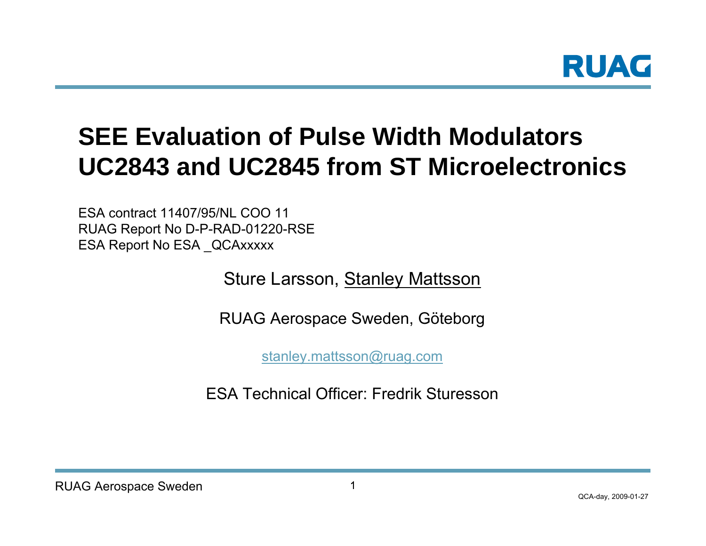## **SEE Evaluation of Pulse Width Modulators UC2843 and UC2845 from ST Microelectronics**

ESA contract 11407/95/NL COO 11RUAG Report No D-P-RAD-01220-RSE ESA Report No ESA \_QCAxxxxx

Sture Larsson, <u>Stanley Mattsson</u>

RUAG Aerospace Sweden, Göteborg

[stanley.mattsson@ruag.com](mailto:stanley.mattsson@ruag.com)

ESA Technical Officer: Fredrik Sturesson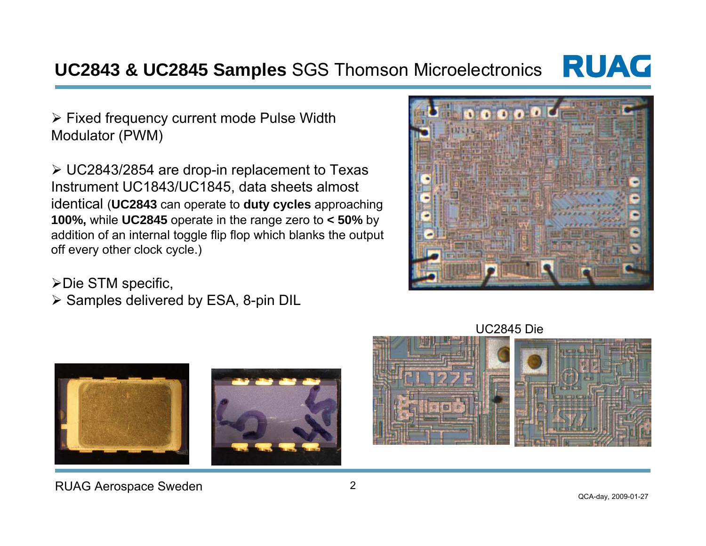#### RUAC **UC2843 & UC2845 Samples** SGS Thomson Microelectronics

¾ Fixed frequency current mode Pulse Width Modulator (PWM)

¾ UC2843/2854 are drop-in replacement to Texas Instrument UC1843/UC1845, data sheets almost identical (**UC2843** can operate to **duty cycles** approaching **100%,** while **UC2845** operate in the range zero to **< 50%** by addition of an internal toggle flip flop which blanks the output off every other clock cycle.)

¾Die STM specific,

¾ Samples delivered by ESA, 8-pin DIL



UC2845 Die



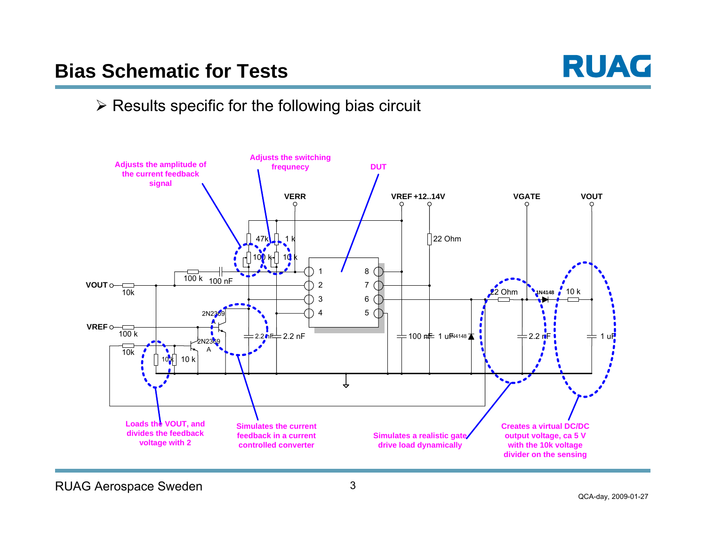

#### $\triangleright$  Results specific for the following bias circuit

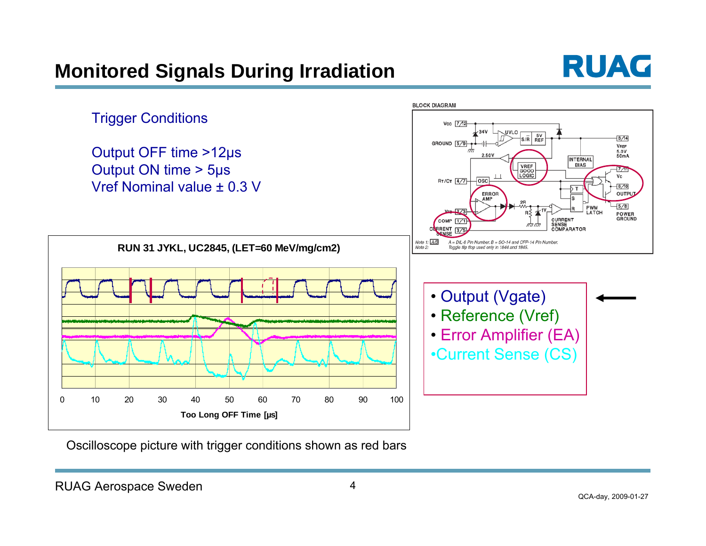## **Monitored Signals During Irradiation**





Oscilloscope picture with trigger conditions shown as red bars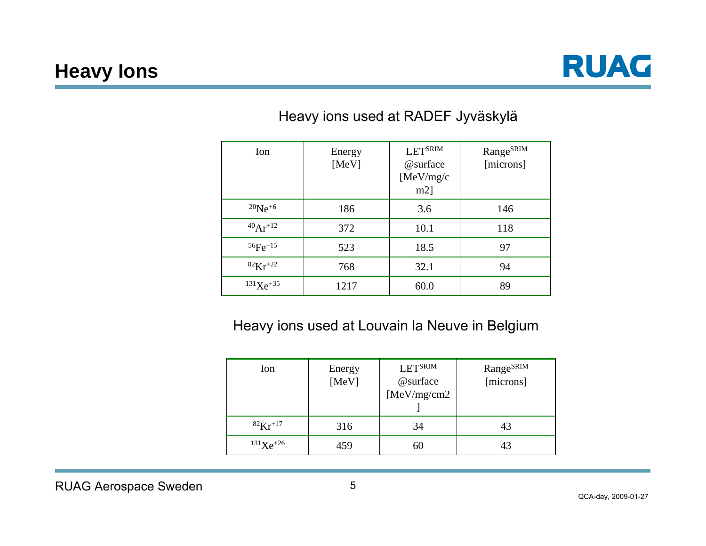

#### Heavy ions used at RADEF Jyväskylä

| Ion               | Energy<br>[MeV] | LETSRIM<br>@surface<br>[MeV/mg/c<br>$m2$ ] | RangeSRIM<br>[microns] |
|-------------------|-----------------|--------------------------------------------|------------------------|
| $^{20}Ne^{+6}$    | 186             | 3.6                                        | 146                    |
| $^{40}Ar^{+12}$   | 372             | 10.1                                       | 118                    |
| $56Fe+15$         | 523             | 18.5                                       | 97                     |
| ${}^{82}Kr^{+22}$ | 768             | 32.1                                       | 94                     |
| $131Xe+35$        | 1217            | 60.0                                       | 89                     |

#### Heavy ions used at Louvain la Neuve in Belgium

| Ion               | Energy<br>[MeV] | <b>LETSRIM</b><br>@surface<br>[MeV/mg/cm2 | RangeSRIM<br>[microns] |
|-------------------|-----------------|-------------------------------------------|------------------------|
| ${}^{82}Kr^{+17}$ | 316             | 34                                        | 43                     |
| $131Xe^{+26}$     | 459             | 60                                        |                        |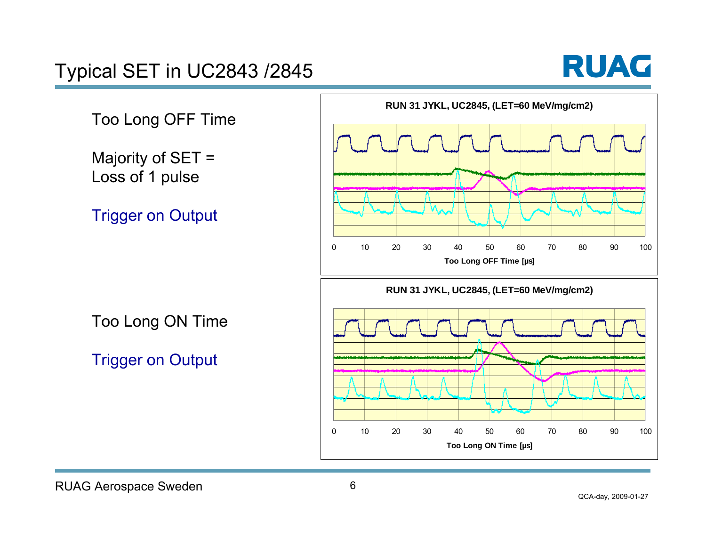## Typical SET in UC2843 /2845



Too Long OFF Time

Majority of SET = Loss of 1 pulse

Trigger on Output

Too Long ON Time

Trigger on Output



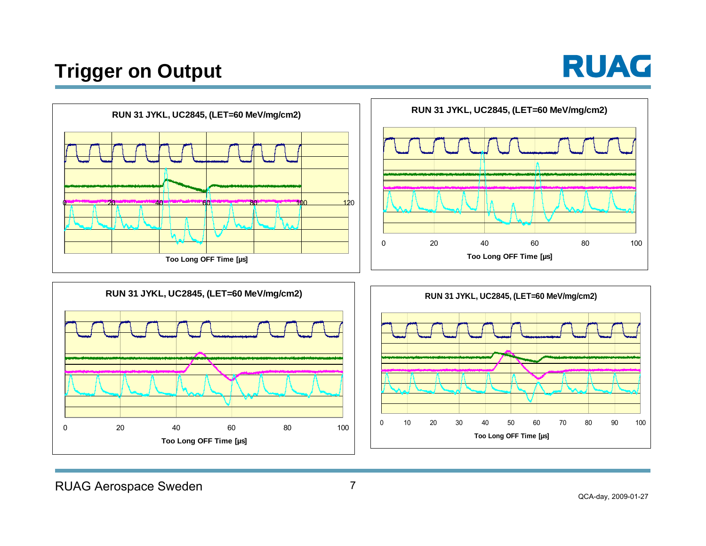## **Trigger on Output**

RUAG







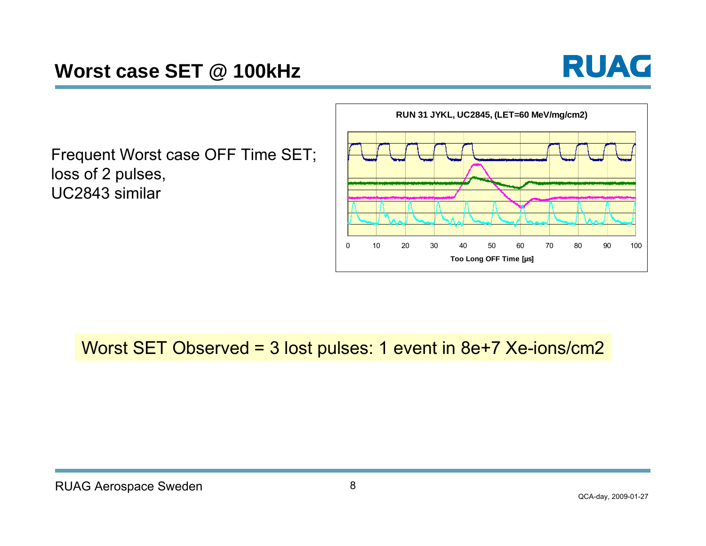

Frequent Worst case OFF Time SET; loss of 2 pulses, UC2843 similar



#### Worst SET Observed = 3 lost pulses: 1 event in 8e+7 Xe-ions/cm2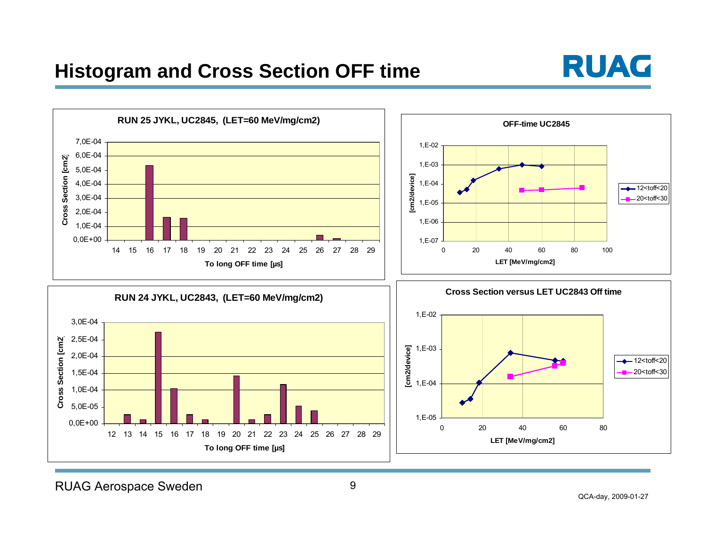## **Histogram and Cross Section OFF time**



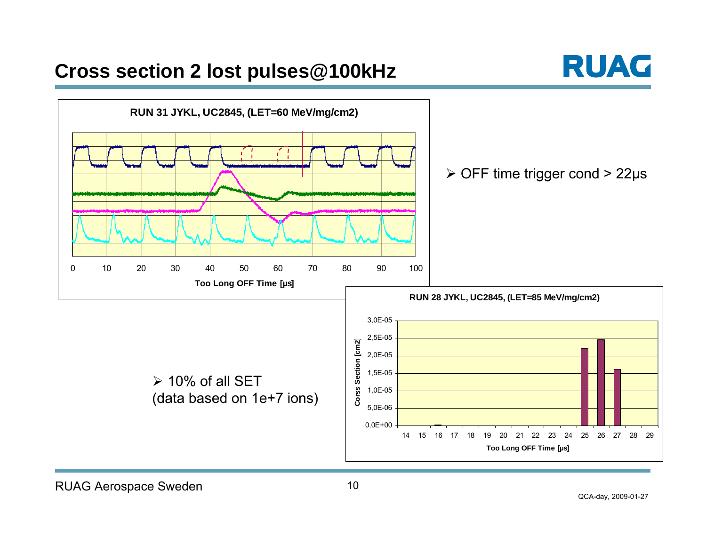## **Cross section 2 lost pulses@100kHz**



RUAG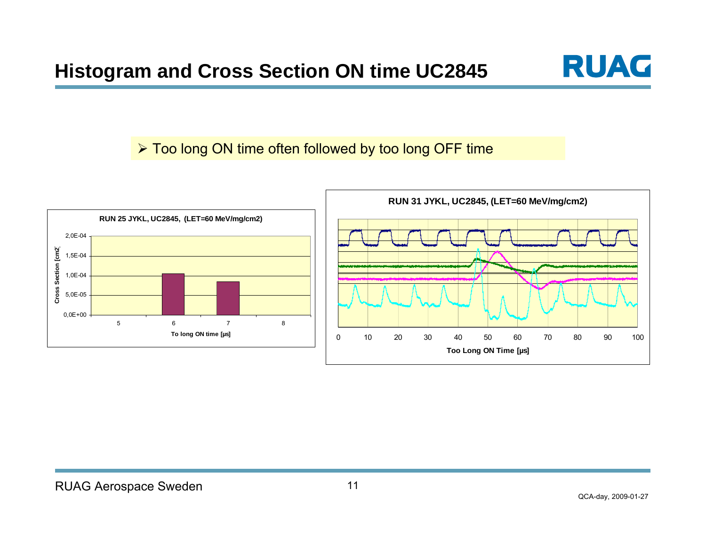#### ¾ Too long ON time often followed by too long OFF time



RUAG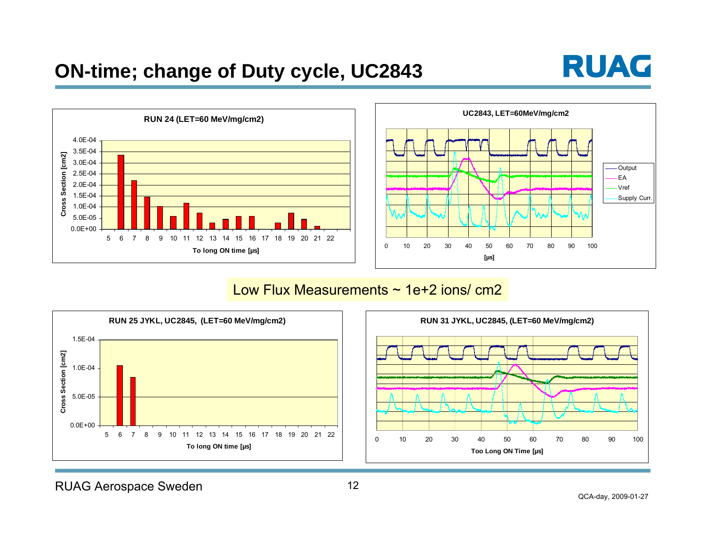## **ON-time; change of Duty cycle, UC2843**







#### Low Flux Measurements  $\sim$  1e+2 ions/ cm2



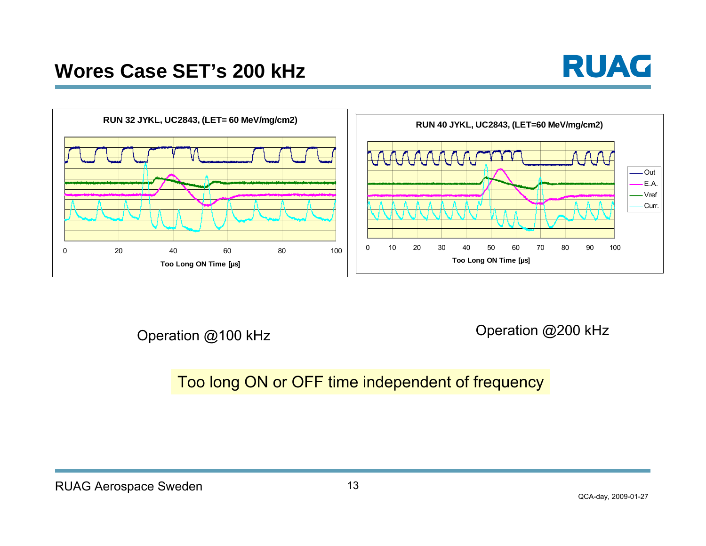



Operation @100 kHz Operation @200 kHz

Too long ON or OFF time independent of frequency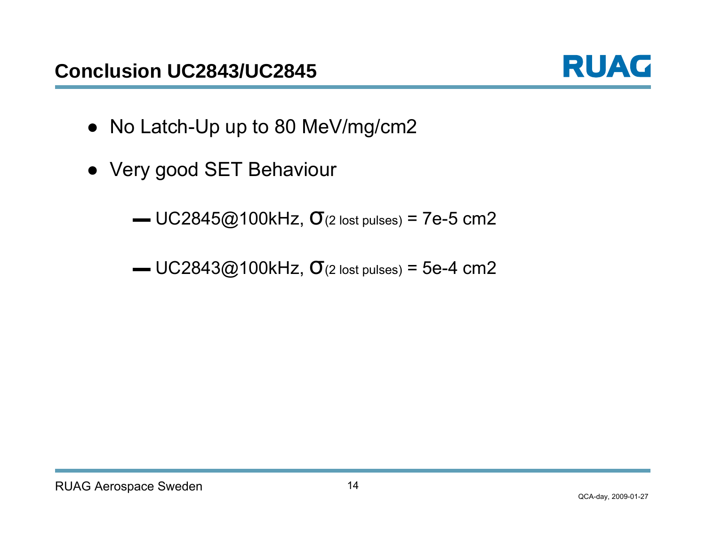#### RUAG Aerospace Sweden 14

#### **Conclusion UC2843/UC2845**

- No Latch-Up up to 80 MeV/mg/cm2
- Very good SET Behaviour

— UC2845@100kHz,  $\sigma$ (2 lost pulses) = 7e-5 cm2

— UC2843@100kHz,  $\sigma$ (2 lost pulses) = 5e-4 cm2